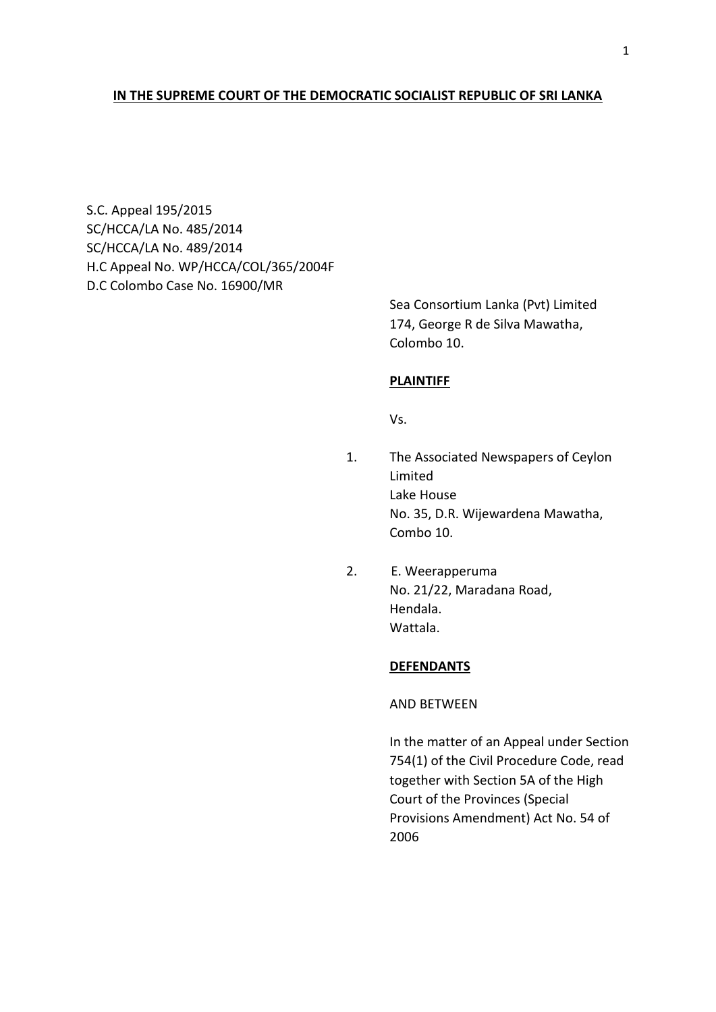## **IN THE SUPREME COURT OF THE DEMOCRATIC SOCIALIST REPUBLIC OF SRI LANKA**

S.C. Appeal 195/2015 SC/HCCA/LA No. 485/2014 SC/HCCA/LA No. 489/2014 H.C Appeal No. WP/HCCA/COL/365/2004F D.C Colombo Case No. 16900/MR

> Sea Consortium Lanka (Pvt) Limited 174, George R de Silva Mawatha, Colombo 10.

### **PLAINTIFF**

Vs.

- 1. The Associated Newspapers of Ceylon Limited Lake House No. 35, D.R. Wijewardena Mawatha, Combo 10.
- 2. E. Weerapperuma No. 21/22, Maradana Road, Hendala. Wattala.

## **DEFENDANTS**

AND BETWEEN

In the matter of an Appeal under Section 754(1) of the Civil Procedure Code, read together with Section 5A of the High Court of the Provinces (Special Provisions Amendment) Act No. 54 of 2006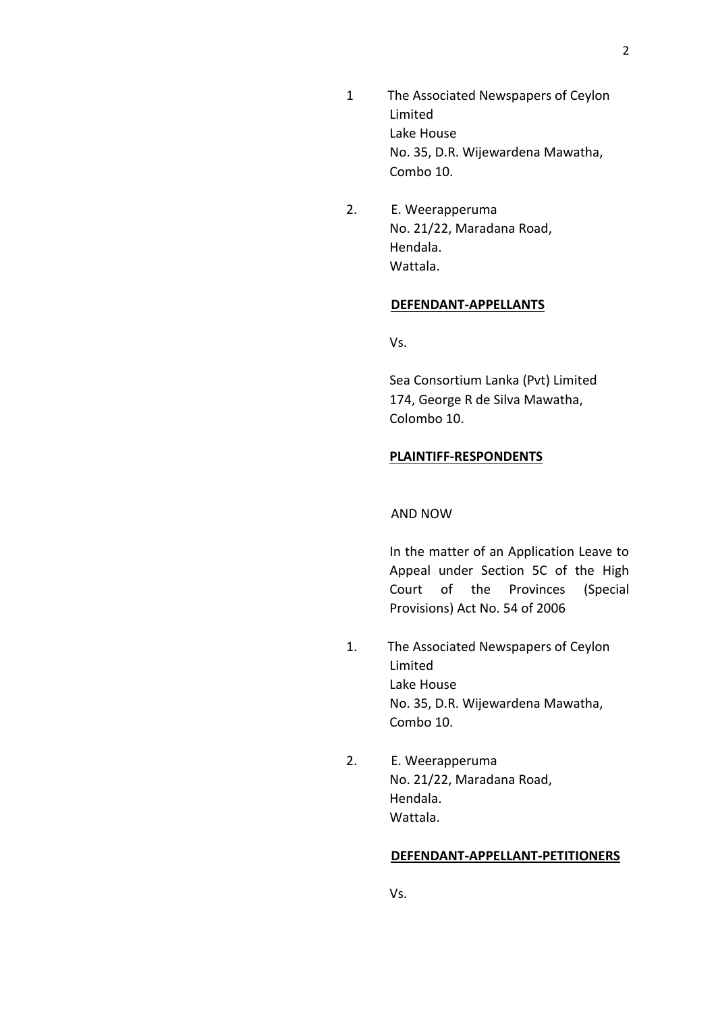- 1 The Associated Newspapers of Ceylon Limited Lake House No. 35, D.R. Wijewardena Mawatha, Combo 10.
- 2. E. Weerapperuma No. 21/22, Maradana Road, Hendala. Wattala.

### **DEFENDANT-APPELLANTS**

Vs.

Sea Consortium Lanka (Pvt) Limited 174, George R de Silva Mawatha, Colombo 10.

### **PLAINTIFF-RESPONDENTS**

#### AND NOW

In the matter of an Application Leave to Appeal under Section 5C of the High Court of the Provinces (Special Provisions) Act No. 54 of 2006

- 1. The Associated Newspapers of Ceylon Limited Lake House No. 35, D.R. Wijewardena Mawatha, Combo 10.
- 2. E. Weerapperuma No. 21/22, Maradana Road, Hendala. Wattala.

#### **DEFENDANT-APPELLANT-PETITIONERS**

Vs.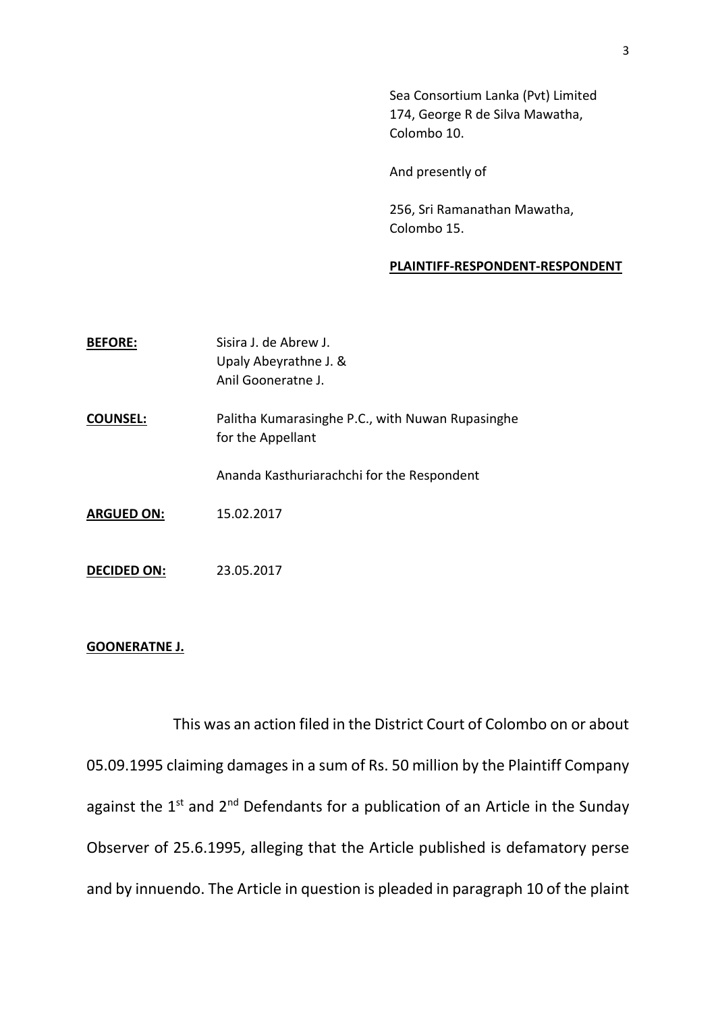Sea Consortium Lanka (Pvt) Limited 174, George R de Silva Mawatha, Colombo 10.

And presently of

256, Sri Ramanathan Mawatha, Colombo 15.

## **PLAINTIFF-RESPONDENT-RESPONDENT**

| <b>BEFORE:</b>     | Sisira J. de Abrew J.<br>Upaly Abeyrathne J. &<br>Anil Gooneratne J.  |
|--------------------|-----------------------------------------------------------------------|
| <b>COUNSEL:</b>    | Palitha Kumarasinghe P.C., with Nuwan Rupasinghe<br>for the Appellant |
|                    | Ananda Kasthuriarachchi for the Respondent                            |
| <b>ARGUED ON:</b>  | 15.02.2017                                                            |
| <b>DECIDED ON:</b> | 23.05.2017                                                            |

### **GOONERATNE J.**

This was an action filed in the District Court of Colombo on or about 05.09.1995 claiming damages in a sum of Rs. 50 million by the Plaintiff Company against the  $1^{st}$  and  $2^{nd}$  Defendants for a publication of an Article in the Sunday Observer of 25.6.1995, alleging that the Article published is defamatory perse and by innuendo. The Article in question is pleaded in paragraph 10 of the plaint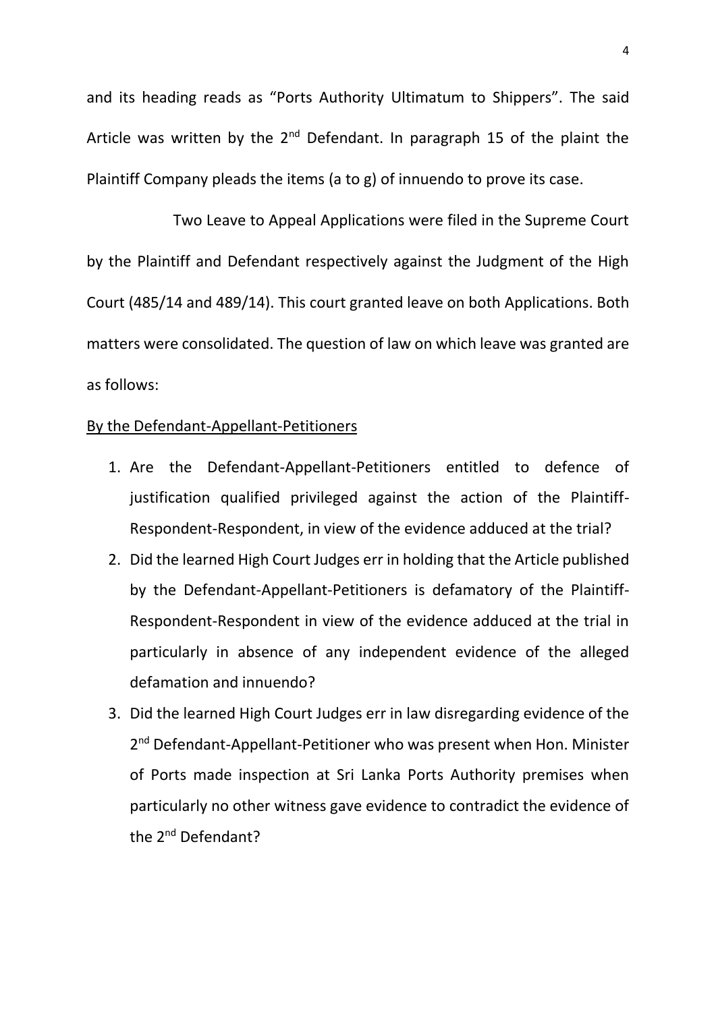and its heading reads as "Ports Authority Ultimatum to Shippers". The said Article was written by the  $2^{nd}$  Defendant. In paragraph 15 of the plaint the Plaintiff Company pleads the items (a to g) of innuendo to prove its case.

Two Leave to Appeal Applications were filed in the Supreme Court by the Plaintiff and Defendant respectively against the Judgment of the High Court (485/14 and 489/14). This court granted leave on both Applications. Both matters were consolidated. The question of law on which leave was granted are as follows:

# By the Defendant-Appellant-Petitioners

- 1. Are the Defendant-Appellant-Petitioners entitled to defence of justification qualified privileged against the action of the Plaintiff-Respondent-Respondent, in view of the evidence adduced at the trial?
- 2. Did the learned High Court Judges err in holding that the Article published by the Defendant-Appellant-Petitioners is defamatory of the Plaintiff-Respondent-Respondent in view of the evidence adduced at the trial in particularly in absence of any independent evidence of the alleged defamation and innuendo?
- 3. Did the learned High Court Judges err in law disregarding evidence of the 2<sup>nd</sup> Defendant-Appellant-Petitioner who was present when Hon. Minister of Ports made inspection at Sri Lanka Ports Authority premises when particularly no other witness gave evidence to contradict the evidence of the 2<sup>nd</sup> Defendant?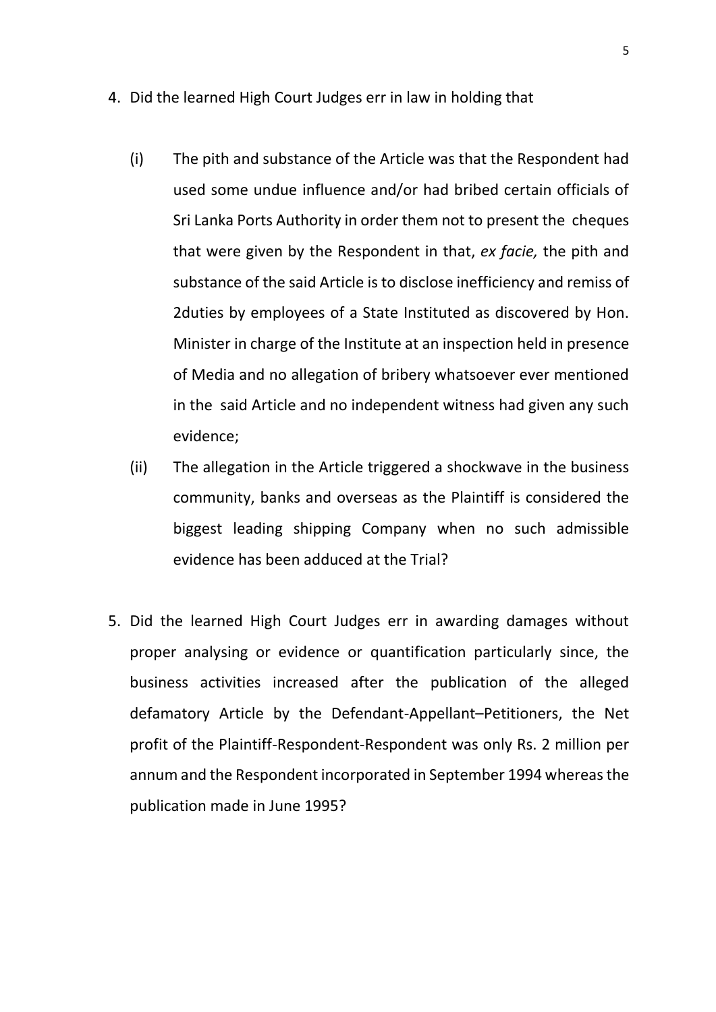- 4. Did the learned High Court Judges err in law in holding that
	- (i) The pith and substance of the Article was that the Respondent had used some undue influence and/or had bribed certain officials of Sri Lanka Ports Authority in order them not to present the cheques that were given by the Respondent in that, *ex facie,* the pith and substance of the said Article is to disclose inefficiency and remiss of 2duties by employees of a State Instituted as discovered by Hon. Minister in charge of the Institute at an inspection held in presence of Media and no allegation of bribery whatsoever ever mentioned in the said Article and no independent witness had given any such evidence;
	- (ii) The allegation in the Article triggered a shockwave in the business community, banks and overseas as the Plaintiff is considered the biggest leading shipping Company when no such admissible evidence has been adduced at the Trial?
- 5. Did the learned High Court Judges err in awarding damages without proper analysing or evidence or quantification particularly since, the business activities increased after the publication of the alleged defamatory Article by the Defendant-Appellant–Petitioners, the Net profit of the Plaintiff-Respondent-Respondent was only Rs. 2 million per annum and the Respondent incorporated in September 1994 whereas the publication made in June 1995?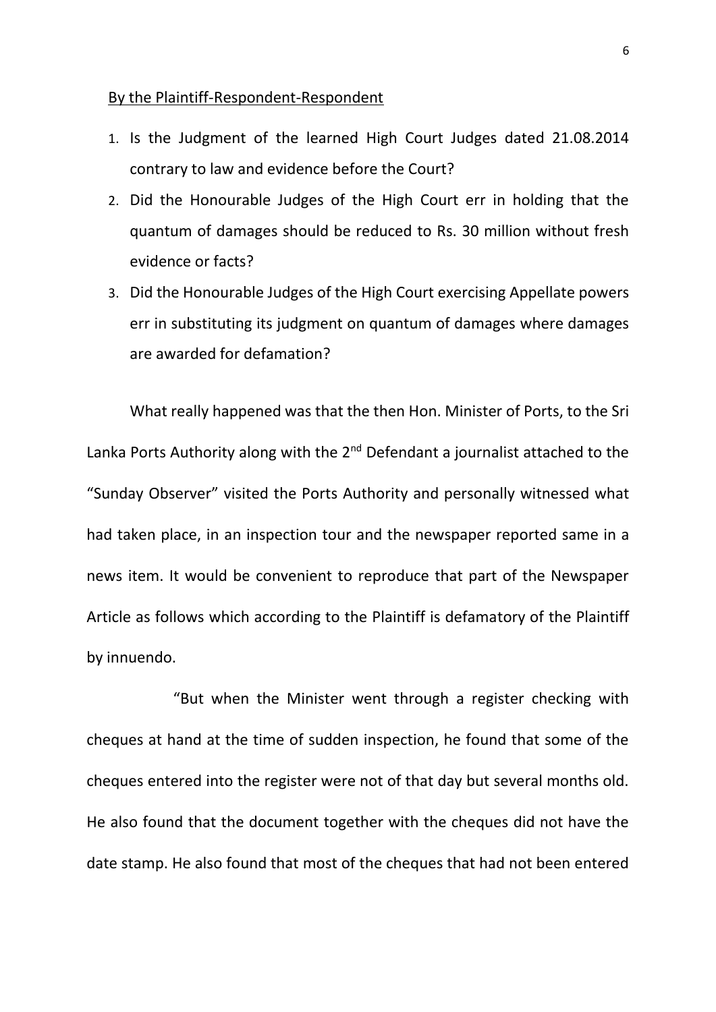## By the Plaintiff-Respondent-Respondent

- 1. Is the Judgment of the learned High Court Judges dated 21.08.2014 contrary to law and evidence before the Court?
- 2. Did the Honourable Judges of the High Court err in holding that the quantum of damages should be reduced to Rs. 30 million without fresh evidence or facts?
- 3. Did the Honourable Judges of the High Court exercising Appellate powers err in substituting its judgment on quantum of damages where damages are awarded for defamation?

What really happened was that the then Hon. Minister of Ports, to the Sri Lanka Ports Authority along with the  $2<sup>nd</sup>$  Defendant a journalist attached to the "Sunday Observer" visited the Ports Authority and personally witnessed what had taken place, in an inspection tour and the newspaper reported same in a news item. It would be convenient to reproduce that part of the Newspaper Article as follows which according to the Plaintiff is defamatory of the Plaintiff by innuendo.

"But when the Minister went through a register checking with cheques at hand at the time of sudden inspection, he found that some of the cheques entered into the register were not of that day but several months old. He also found that the document together with the cheques did not have the date stamp. He also found that most of the cheques that had not been entered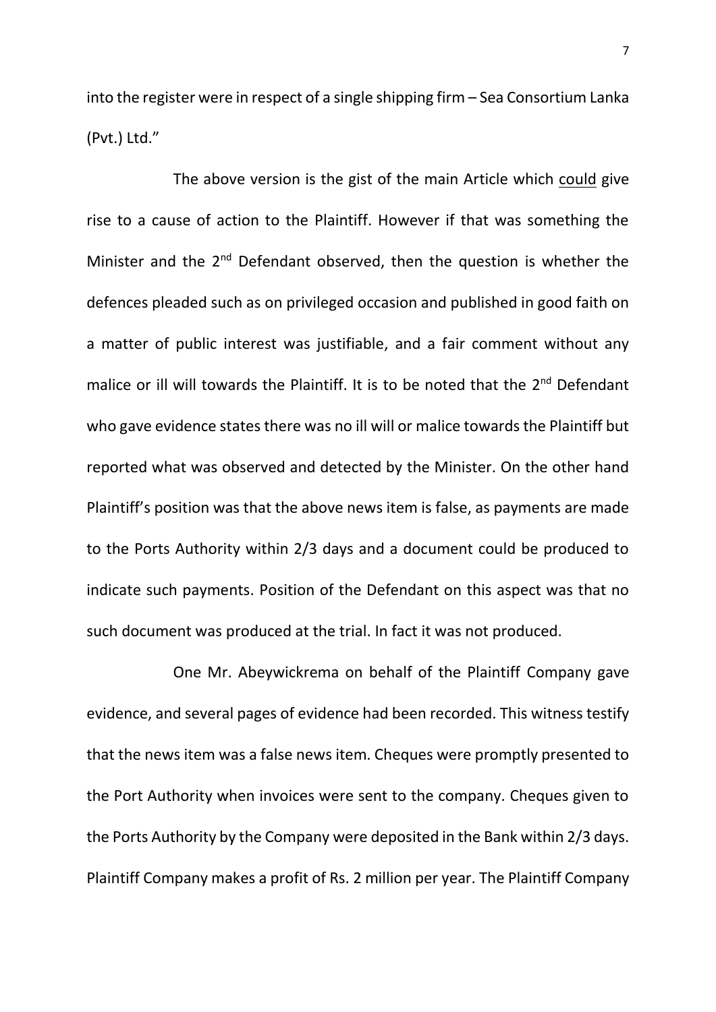into the register were in respect of a single shipping firm – Sea Consortium Lanka (Pvt.) Ltd."

The above version is the gist of the main Article which could give rise to a cause of action to the Plaintiff. However if that was something the Minister and the 2<sup>nd</sup> Defendant observed, then the question is whether the defences pleaded such as on privileged occasion and published in good faith on a matter of public interest was justifiable, and a fair comment without any malice or ill will towards the Plaintiff. It is to be noted that the 2<sup>nd</sup> Defendant who gave evidence states there was no ill will or malice towards the Plaintiff but reported what was observed and detected by the Minister. On the other hand Plaintiff's position was that the above news item is false, as payments are made to the Ports Authority within 2/3 days and a document could be produced to indicate such payments. Position of the Defendant on this aspect was that no such document was produced at the trial. In fact it was not produced.

One Mr. Abeywickrema on behalf of the Plaintiff Company gave evidence, and several pages of evidence had been recorded. This witness testify that the news item was a false news item. Cheques were promptly presented to the Port Authority when invoices were sent to the company. Cheques given to the Ports Authority by the Company were deposited in the Bank within 2/3 days. Plaintiff Company makes a profit of Rs. 2 million per year. The Plaintiff Company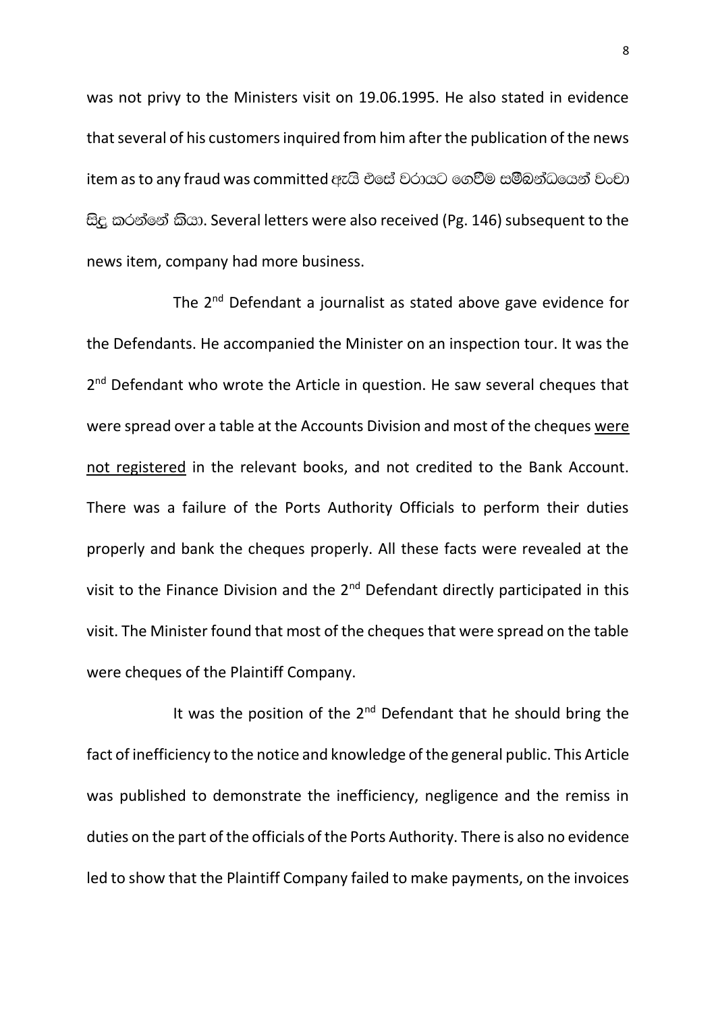was not privy to the Ministers visit on 19.06.1995. He also stated in evidence that several of his customers inquired from him after the publication of the news item as to any fraud was committed ඇයි එසේ වරායට ගෙවීම සමීබන්ධයෙන් වංචා සිදු කරන්නේ කියා. Several letters were also received (Pg. 146) subsequent to the news item, company had more business.

The 2<sup>nd</sup> Defendant a journalist as stated above gave evidence for the Defendants. He accompanied the Minister on an inspection tour. It was the 2<sup>nd</sup> Defendant who wrote the Article in question. He saw several cheques that were spread over a table at the Accounts Division and most of the cheques were not registered in the relevant books, and not credited to the Bank Account. There was a failure of the Ports Authority Officials to perform their duties properly and bank the cheques properly. All these facts were revealed at the visit to the Finance Division and the 2<sup>nd</sup> Defendant directly participated in this visit. The Minister found that most of the cheques that were spread on the table were cheques of the Plaintiff Company.

It was the position of the  $2^{nd}$  Defendant that he should bring the fact of inefficiency to the notice and knowledge of the general public. This Article was published to demonstrate the inefficiency, negligence and the remiss in duties on the part of the officials of the Ports Authority. There is also no evidence led to show that the Plaintiff Company failed to make payments, on the invoices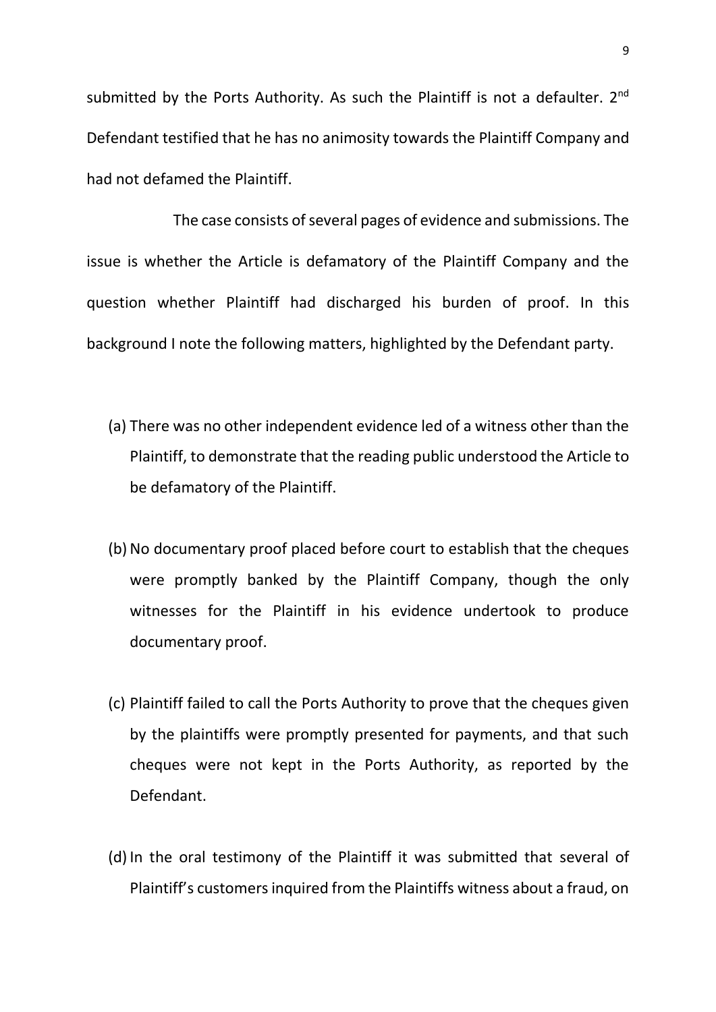submitted by the Ports Authority. As such the Plaintiff is not a defaulter.  $2^{nd}$ Defendant testified that he has no animosity towards the Plaintiff Company and had not defamed the Plaintiff.

The case consists of several pages of evidence and submissions. The issue is whether the Article is defamatory of the Plaintiff Company and the question whether Plaintiff had discharged his burden of proof. In this background I note the following matters, highlighted by the Defendant party.

- (a) There was no other independent evidence led of a witness other than the Plaintiff, to demonstrate that the reading public understood the Article to be defamatory of the Plaintiff.
- (b) No documentary proof placed before court to establish that the cheques were promptly banked by the Plaintiff Company, though the only witnesses for the Plaintiff in his evidence undertook to produce documentary proof.
- (c) Plaintiff failed to call the Ports Authority to prove that the cheques given by the plaintiffs were promptly presented for payments, and that such cheques were not kept in the Ports Authority, as reported by the Defendant.
- (d) In the oral testimony of the Plaintiff it was submitted that several of Plaintiff's customers inquired from the Plaintiffs witness about a fraud, on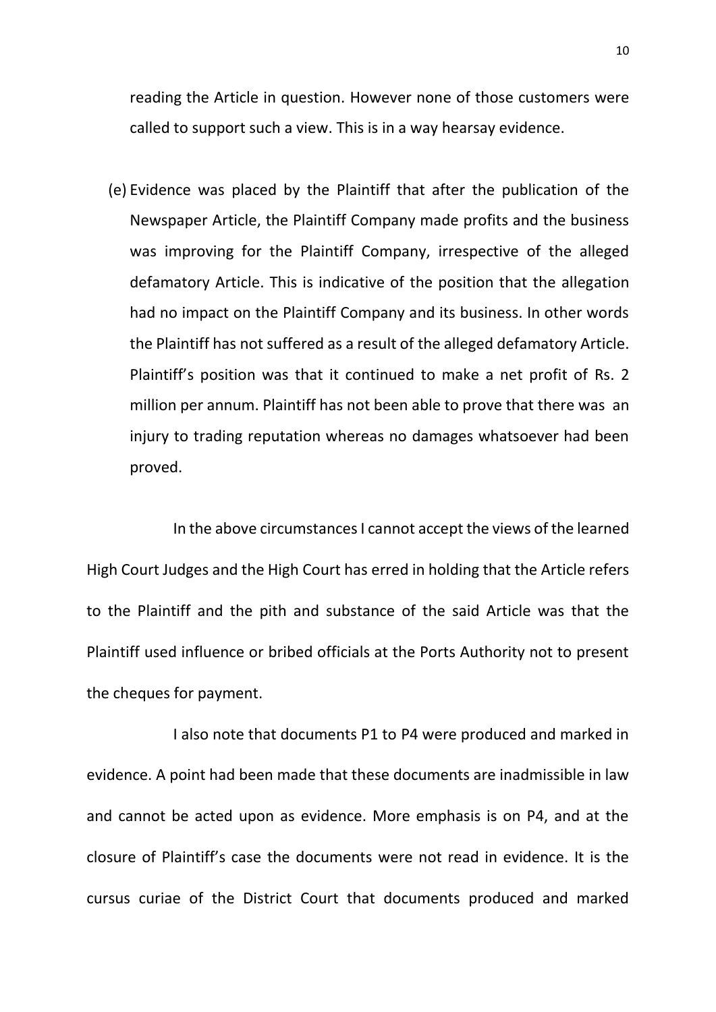reading the Article in question. However none of those customers were called to support such a view. This is in a way hearsay evidence.

(e) Evidence was placed by the Plaintiff that after the publication of the Newspaper Article, the Plaintiff Company made profits and the business was improving for the Plaintiff Company, irrespective of the alleged defamatory Article. This is indicative of the position that the allegation had no impact on the Plaintiff Company and its business. In other words the Plaintiff has not suffered as a result of the alleged defamatory Article. Plaintiff's position was that it continued to make a net profit of Rs. 2 million per annum. Plaintiff has not been able to prove that there was an injury to trading reputation whereas no damages whatsoever had been proved.

In the above circumstances I cannot accept the views of the learned High Court Judges and the High Court has erred in holding that the Article refers to the Plaintiff and the pith and substance of the said Article was that the Plaintiff used influence or bribed officials at the Ports Authority not to present the cheques for payment.

I also note that documents P1 to P4 were produced and marked in evidence. A point had been made that these documents are inadmissible in law and cannot be acted upon as evidence. More emphasis is on P4, and at the closure of Plaintiff's case the documents were not read in evidence. It is the cursus curiae of the District Court that documents produced and marked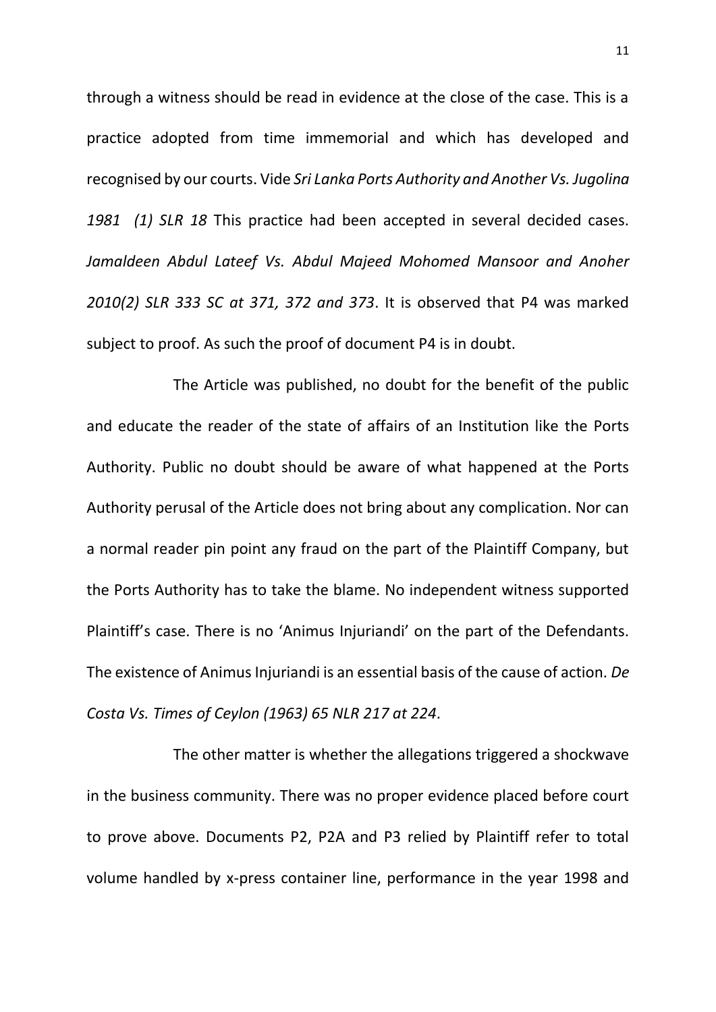through a witness should be read in evidence at the close of the case. This is a practice adopted from time immemorial and which has developed and recognised by our courts. Vide *Sri Lanka Ports Authority and Another Vs. Jugolina 1981 (1) SLR 18* This practice had been accepted in several decided cases. *Jamaldeen Abdul Lateef Vs. Abdul Majeed Mohomed Mansoor and Anoher 2010(2) SLR 333 SC at 371, 372 and 373*. It is observed that P4 was marked subject to proof. As such the proof of document P4 is in doubt.

The Article was published, no doubt for the benefit of the public and educate the reader of the state of affairs of an Institution like the Ports Authority. Public no doubt should be aware of what happened at the Ports Authority perusal of the Article does not bring about any complication. Nor can a normal reader pin point any fraud on the part of the Plaintiff Company, but the Ports Authority has to take the blame. No independent witness supported Plaintiff's case. There is no 'Animus Injuriandi' on the part of the Defendants. The existence of Animus Injuriandi is an essential basis of the cause of action. *De Costa Vs. Times of Ceylon (1963) 65 NLR 217 at 224*.

The other matter is whether the allegations triggered a shockwave in the business community. There was no proper evidence placed before court to prove above. Documents P2, P2A and P3 relied by Plaintiff refer to total volume handled by x-press container line, performance in the year 1998 and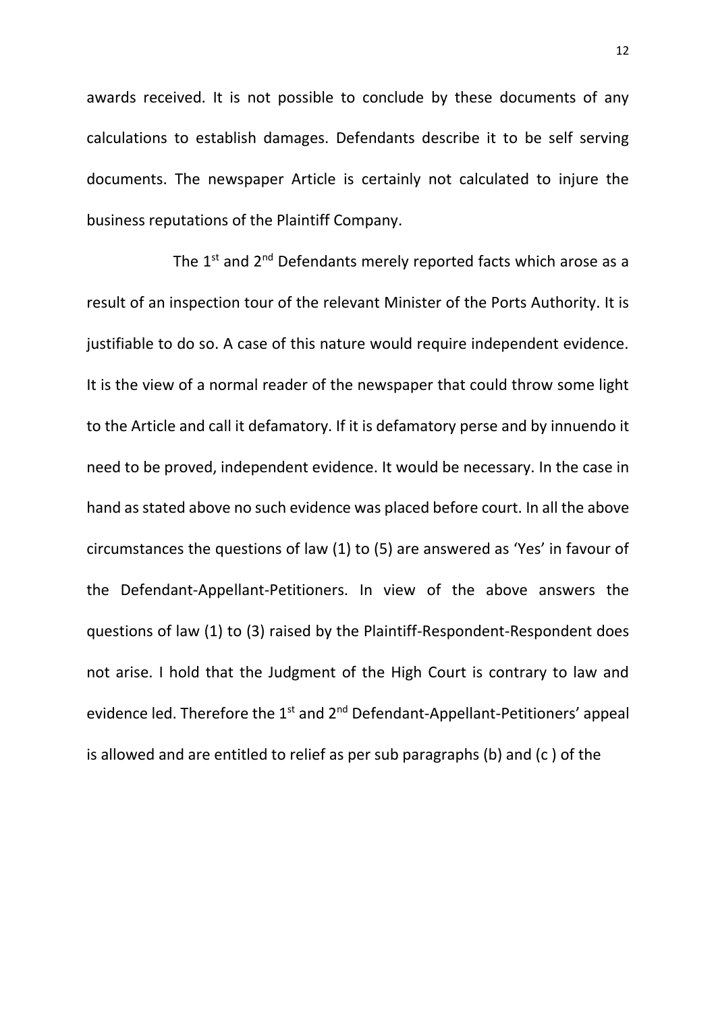awards received. It is not possible to conclude by these documents of any calculations to establish damages. Defendants describe it to be self serving documents. The newspaper Article is certainly not calculated to injure the business reputations of the Plaintiff Company.

The 1<sup>st</sup> and 2<sup>nd</sup> Defendants merely reported facts which arose as a result of an inspection tour of the relevant Minister of the Ports Authority. It is justifiable to do so. A case of this nature would require independent evidence. It is the view of a normal reader of the newspaper that could throw some light to the Article and call it defamatory. If it is defamatory perse and by innuendo it need to be proved, independent evidence. It would be necessary. In the case in hand as stated above no such evidence was placed before court. In all the above circumstances the questions of law (1) to (5) are answered as 'Yes' in favour of the Defendant-Appellant-Petitioners. In view of the above answers the questions of law (1) to (3) raised by the Plaintiff-Respondent-Respondent does not arise. I hold that the Judgment of the High Court is contrary to law and evidence led. Therefore the 1<sup>st</sup> and 2<sup>nd</sup> Defendant-Appellant-Petitioners' appeal is allowed and are entitled to relief as per sub paragraphs (b) and (c ) of the